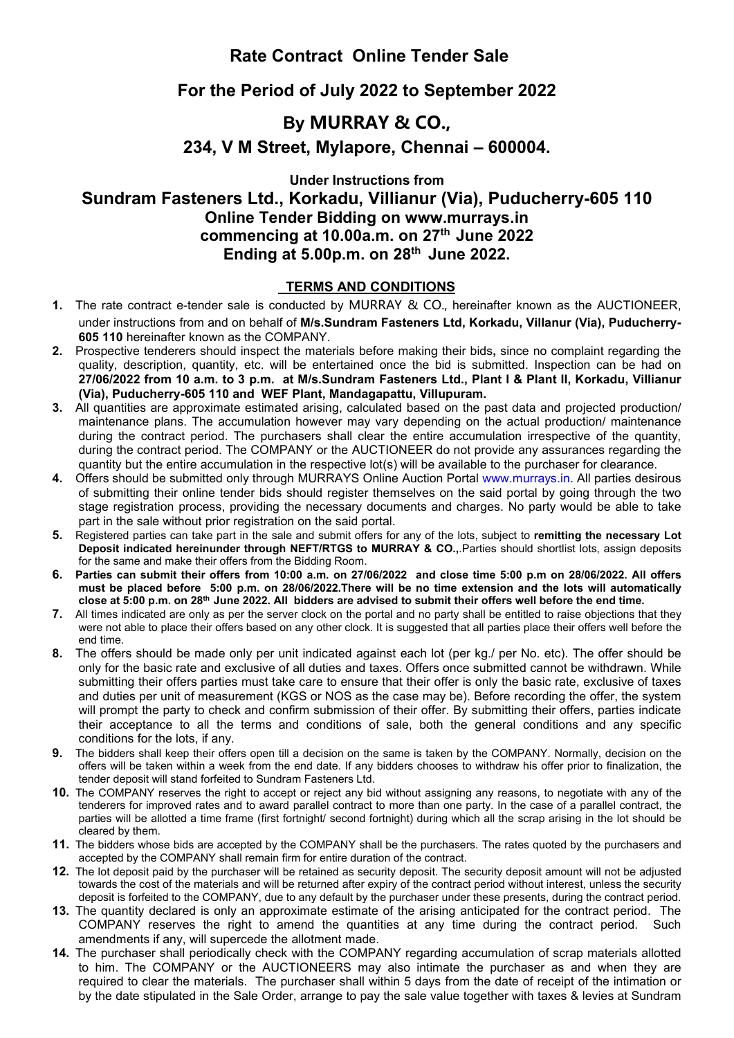## **Rate Contract Online Tender Sale**

## **For the Period of July 2022 to September 2022**

## **By MURRAY & CO.,**

**234, V M Street, Mylapore, Chennai – 600004.**

**Under Instructions from**

**Sundram Fasteners Ltd., Korkadu, Villianur (Via), Puducherry-605 110 Online Tender Bidding on www.murrays.in commencing at 10.00a.m. on 27 th June 2022 Ending at 5.00p.m. on 28 th June 2022.**

## **TERMS AND CONDITIONS**

- **1.** The rate contract e-tender sale is conducted by MURRAY & CO., hereinafter known as the AUCTIONEER, under instructions from and on behalf of **M/s.Sundram Fasteners Ltd, Korkadu, Villanur (Via), Puducherry- 605 110** hereinafter known as the COMPANY.
- **2.** Prospective tenderers should inspect the materials before making their bids**,** since no complaint regarding the quality, description, quantity, etc. will be entertained once the bid is submitted. Inspection can be had on 27/06/2022 from 10 a.m. to 3 p.m. at M/s.Sundram Fasteners Ltd., Plant I & Plant II, Korkadu, Villianur **(Via), Puducherry-605 110 and WEF Plant, Mandagapattu, Villupuram.**
- **3.** All quantities are approximate estimated arising, calculated based on the past data and projected production/ maintenance plans. The accumulation however may vary depending on the actual production/ maintenance during the contract period. The purchasers shall clear the entire accumulation irrespective of the quantity, during the contract period. The COMPANY or the AUCTIONEER do not provide any assurances regarding the quantity but the entire accumulation in the respective lot(s) will be available to the purchaser for clearance.
- **4.** Offers should be submitted only through MURRAYS Online Auction Portal [www.murrays.in.](http://www.murrays.in/) All parties desirous of submitting their online tender bids should register themselves on the said portal by going through the two stage registration process, providing the necessary documents and charges. No party would be able to take part in the sale without prior registration on the said portal.
- **5.** Registered parties can take part in the sale and submitoffers for any of the lots, subject to **remitting the necessary Lot Deposit indicated hereinunder through NEFT/RTGS to MURRAY & CO.,**.Parties should shortlist lots, assign deposits for the same and make their offers from the Bidding Room.
- 6. Parties can submit their offers from 10:00 a.m. on 27/06/2022 and close time 5:00 p.m on 28/06/2022. All offers must be placed before 5:00 p.m. on 28/06/2022. There will be no time extension and the lots will automatically close at 5:00 p.m. on 28<sup>th</sup> June 2022. All bidders are advised to submit their offers well before the end time.
- **7.** All times indicated are only as per the server clock on the portal and no party shall be entitled to raise objections that they were not able to place their offers based on any other clock. It is suggested that all parties place their offers well before the end time.
- **8.** The offers should be made only per unit indicated against each lot (per kg./ per No. etc). The offer should be only for the basic rate and exclusive of all duties and taxes. Offers once submitted cannot be withdrawn. While submitting their offers parties must take care to ensure that theiroffer is only the basic rate, exclusive of taxes and duties per unit of measurement (KGS or NOS as the case may be). Before recording the offer, the system will prompt the party to check and confirm submission of their offer. By submitting their offers, parties indicate their acceptance to all the terms and conditions of sale, both the general conditions and any specific conditions for the lots, if any.
- **9.** The bidders shall keep their offers open till a decision on the same istaken by the COMPANY. Normally, decision on the offers will be taken within a week from the end date. If any bidders chooses to withdraw his offer prior to finalization, the tender deposit will stand forfeited to Sundram Fasteners Ltd.
- **10.** The COMPANY reserves the right to accept or reject any bid without assigning any reasons, to negotiate with any of the tenderers for improved rates and to award parallel contract to more than one party. In the case of a parallel contract, the parties will be allotted a time frame (first fortnight/ second fortnight) during which all the scrap arising in the lot should be cleared by them.
- **11.** The bidders whose bids are accepted by the COMPANY shall be the purchasers. The rates quoted by the purchasers and accepted by the COMPANY shall remain firm for entire duration of the contract.
- **12.** The lot deposit paid by the purchaser will be retained as security deposit. The security deposit amount will not be adjusted towards the cost of the materials and will be returned after expiry of the contract period without interest, unless the security deposit is forfeited to the COMPANY, due to any default by the purchaser under these presents, during the contract period.
- **13.** The quantity declared is only an approximate estimate of the arising anticipated for the contract period. The COMPANY reserves the right to amend the quantities at any time during the contract period. Such amendments if any, will supercede the allotment made.
- **14.** The purchaser shall periodically check with the COMPANY regarding accumulation of scrap materials allotted to him. The COMPANY or the AUCTIONEERS may also intimate the purchaser as and when they are required to clear the materials. The purchaser shall within 5 days from the date of receipt of the intimation or by the date stipulated in the Sale Order, arrange to pay the sale value together with taxes & levies at Sundram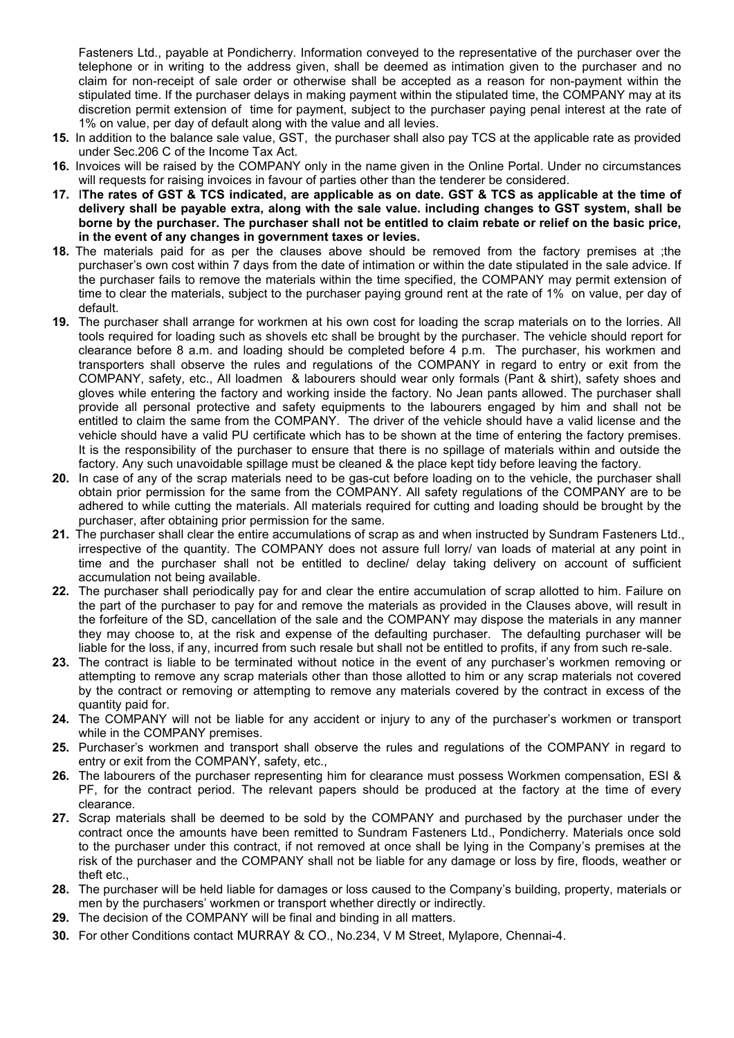Fasteners Ltd., payable at Pondicherry. Information conveyed to the representative of the purchaser over the telephone or in writing to the address given, shall be deemed as intimation given to the purchaser and no claim for non-receipt of sale order or otherwise shall be accepted as a reason for non-payment within the stipulated time. If the purchaser delays in making payment within the stipulated time, the COMPANY may at its discretion permit extension of time for payment, subject to the purchaser paying penal interest at the rate of 1% on value, per day of default along with the value and all levies.

- **15.** In addition to the balance sale value, GST, the purchaser shall also pay TCS atthe applicable rate as provided under Sec.206 C of the Income Tax Act.
- **16.** Invoices will be raised by the COMPANY only in the name given in the Online Portal. Under no circumstances will requests for raising invoices in favour of parties other than the tenderer be considered.
- 17. The rates of GST & TCS indicated, are applicable as on date. GST & TCS as applicable at the time of **delivery shall be payable extra, along with the sale value. including changes to GST system, shall be** borne by the purchaser. The purchaser shall not be entitled to claim rebate or relief on the basic price, **in the event of any changes in government taxes or levies.**
- **18.** The materials paid for as per the clauses above should be removed from the factory premises at ;the purchaser's own costwithin 7 days from the date of intimation or within the date stipulated in the sale advice. If the purchaser fails to remove the materials within the time specified, the COMPANY may permit extension of time to clear the materials, subject to the purchaser paying ground rent at the rate of 1% on value, per day of default.
- **19.** The purchaser shall arrange for workmen at his own cost for loading the scrap materials on to the lorries. All tools required for loading such as shovels etc shall be brought by the purchaser. The vehicle should report for clearance before 8 a.m. and loading should be completed before 4 p.m. The purchaser, his workmen and transporters shall observe the rules and regulations of the COMPANY in regard to entry or exit from the COMPANY, safety, etc., All loadmen & labourers should wear only formals (Pant & shirt), safety shoes and gloves while entering the factory and working inside the factory. No Jean pants allowed. The purchaser shall provide all personal protective and safety equipments to the labourers engaged by him and shall not be entitled to claim the same from the COMPANY. The driver of the vehicle should have a valid license and the vehicle should have a valid PU certificate which has to be shown at the time of entering the factory premises. It is the responsibility of the purchaser to ensure that there is no spillage of materials within and outside the factory. Any such unavoidable spillage must be cleaned & the place kept tidy before leaving the factory.
- **20.** In case of any of the scrap materials need to be gas-cut before loading on to the vehicle, the purchaser shall obtain prior permission for the same from the COMPANY. All safety regulations of the COMPANY are to be adhered to while cutting the materials. All materials required for cutting and loading should be brought by the purchaser, after obtaining prior permission for the same.
- **21.** The purchaser shall clear the entire accumulations of scrap as and when instructed by Sundram Fasteners Ltd., irrespective of the quantity. The COMPANY does not assure full lorry/ van loads of material at any point in time and the purchaser shall not be entitled to decline/ delay taking delivery on account of sufficient accumulation not being available.
- **22.** The purchaser shall periodically pay for and clear the entire accumulation of scrap allotted to him. Failure on the part of the purchaser to pay for and remove the materials as provided in the Clauses above, will result in the forfeiture of the SD, cancellation of the sale and the COMPANY may dispose the materials in any manner they may choose to, at the risk and expense of the defaulting purchaser. The defaulting purchaser will be liable for the loss, if any, incurred from such resale but shall not be entitled to profits, if any from such re-sale.
- **23.** The contract is liable to be terminated without notice in the event of any purchaser's workmen removing or attempting to remove any scrap materials other than those allotted to him or any scrap materials not covered by the contract or removing or attempting to remove any materials covered by the contract in excess of the quantity paid for.
- **24.** The COMPANY will not be liable for any accident or injury to any of the purchaser's workmen or transport while in the COMPANY premises.
- **25.** Purchaser's workmen and transport shall observe the rules and regulations of the COMPANY in regard to entry or exit from the COMPANY, safety, etc.,
- **26.** The labourers of the purchaser representing him for clearance must possess Workmen compensation, ESI & PF, for the contract period. The relevant papers should be produced at the factory at the time of every clearance.
- 27. Scrap materials shall be deemed to be sold by the COMPANY and purchased by the purchaser under the contract once the amounts have been remitted to Sundram Fasteners Ltd., Pondicherry. Materials once sold to the purchaser under this contract, if not removed at once shall be lying in the Company's premises at the risk of the purchaser and the COMPANY shall not be liable for any damage or loss by fire, floods, weather or theft etc.,
- **28.** The purchaser will be held liable for damages or loss caused to the Company's building, property, materials or men by the purchasers' workmen or transport whether directly or indirectly.
- **29.** The decision of the COMPANY will be final and binding in all matters.
- **30.** For other Conditions contact MURRAY & CO., No.234, V M Street, Mylapore, Chennai-4.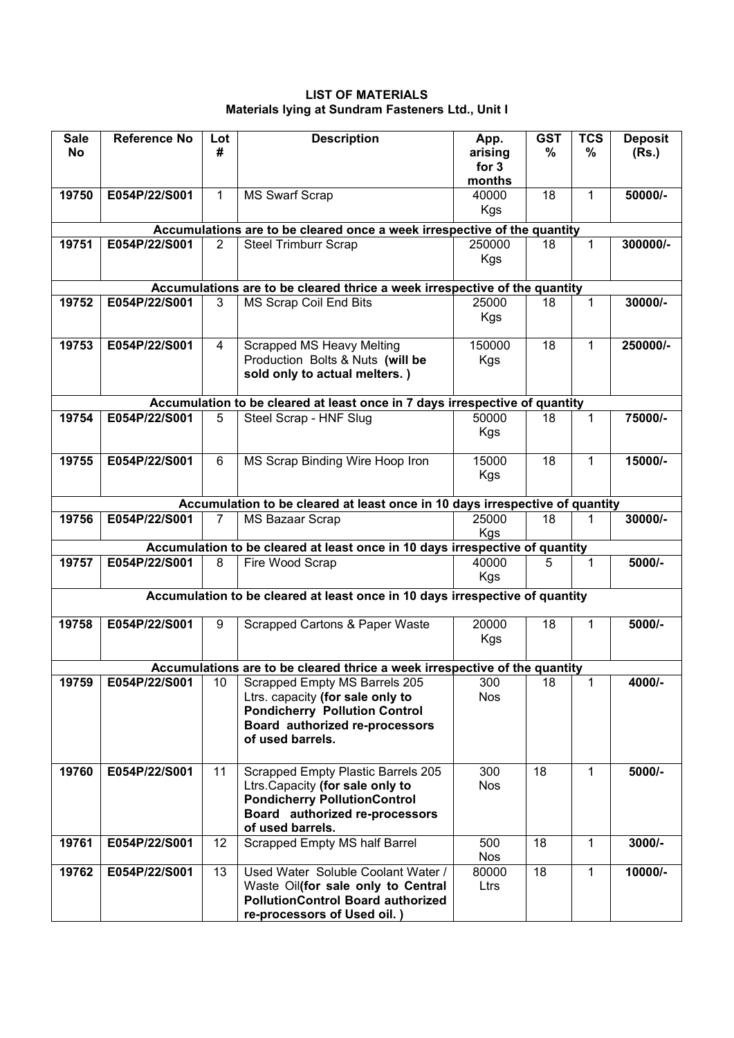**LIST OF MATERIALS Materials lying at Sundram Fasteners Ltd., Unit I**

| <b>Sale</b><br><b>No</b> | <b>Reference No</b> | Lot<br>#       | <b>Description</b>                                                                                                                                                                   | App.<br>arising<br>for 3<br>months | <b>GST</b><br>% | <b>TCS</b><br>% | <b>Deposit</b><br>(Rs.) |
|--------------------------|---------------------|----------------|--------------------------------------------------------------------------------------------------------------------------------------------------------------------------------------|------------------------------------|-----------------|-----------------|-------------------------|
| 19750                    | E054P/22/S001       | 1.             | <b>MS Swarf Scrap</b>                                                                                                                                                                | 40000<br>Kgs                       | 18              | $\mathbf 1$     | 50000/-                 |
|                          |                     |                | Accumulations are to be cleared once a week irrespective of the quantity                                                                                                             |                                    |                 |                 |                         |
| 19751                    | E054P/22/S001       | $\overline{2}$ | <b>Steel Trimburr Scrap</b>                                                                                                                                                          | 250000<br>Kgs                      | 18              | $\mathbf 1$     | 300000/-                |
|                          |                     |                | Accumulations are to be cleared thrice a week irrespective of the quantity                                                                                                           |                                    |                 |                 |                         |
| 19752                    | E054P/22/S001       | 3              | MS Scrap Coil End Bits                                                                                                                                                               | 25000<br><b>Kgs</b>                | 18              | 1               | 30000/-                 |
| 19753                    | E054P/22/S001       | 4              | Scrapped MS Heavy Melting<br>Production Bolts & Nuts (will be<br>sold only to actual melters.)                                                                                       | 150000<br>Kgs                      | 18              | 1               | 250000/-                |
|                          |                     |                | Accumulation to be cleared at least once in 7 days irrespective of quantity                                                                                                          |                                    |                 |                 |                         |
| 19754                    | E054P/22/S001       |                | Steel Scrap - HNF Slug                                                                                                                                                               | 50000<br>Kgs                       | 18              | 1               | 75000/-                 |
| 19755                    | E054P/22/S001       | 6              | MS Scrap Binding Wire Hoop Iron                                                                                                                                                      | 15000<br>Kgs                       | 18              | $\mathbf 1$     | 15000/-                 |
|                          |                     |                | Accumulation to be cleared at least once in 10 days irrespective of quantity                                                                                                         |                                    |                 |                 |                         |
| 19756                    | E054P/22/S001       | 7              | MS Bazaar Scrap                                                                                                                                                                      | 25000<br>Kgs                       | 18              | 1               | 30000/-                 |
|                          |                     |                | Accumulation to be cleared at least once in 10 days irrespective of quantity                                                                                                         |                                    |                 |                 |                         |
| 19757                    | E054P/22/S001       | 8              | Fire Wood Scrap                                                                                                                                                                      | 40000<br>Kgs                       | 5               | 1               | 5000/-                  |
|                          |                     |                | Accumulation to be cleared at least once in 10 days irrespective of quantity                                                                                                         |                                    |                 |                 |                         |
| 19758                    | E054P/22/S001       | 9              | Scrapped Cartons & Paper Waste                                                                                                                                                       | 20000<br><b>Kgs</b>                | 18              | 1               | 5000/-                  |
|                          |                     |                | Accumulations are to be cleared thrice a week irrespective of the quantity                                                                                                           |                                    |                 |                 |                         |
| 19759                    |                     |                | E054P/22/S001   10   Scrapped Empty MS Barrels 205<br>Ltrs. capacity (for sale only to<br><b>Pondicherry Pollution Control</b><br>Board authorized re-processors<br>of used barrels. | 300<br><b>Nos</b>                  | 18              | 1               | 4000/-                  |
| 19760                    | E054P/22/S001       | 11             | Scrapped Empty Plastic Barrels 205<br>Ltrs. Capacity (for sale only to<br><b>Pondicherry PollutionControl</b><br>Board authorized re-processors<br>of used barrels.                  | 300<br><b>Nos</b>                  | 18              | $\mathbf 1$     | 5000/-                  |
| 19761                    | E054P/22/S001       | 12             | Scrapped Empty MS half Barrel                                                                                                                                                        | 500<br><b>Nos</b>                  | 18              | $\mathbf{1}$    | $3000/-$                |
| 19762                    | E054P/22/S001       | 13             | Used Water Soluble Coolant Water /<br>Waste Oil(for sale only to Central<br><b>PollutionControl Board authorized</b><br>re-processors of Used oil.)                                  | 80000<br>Ltrs                      | 18              | $\mathbf{1}$    | 10000/-                 |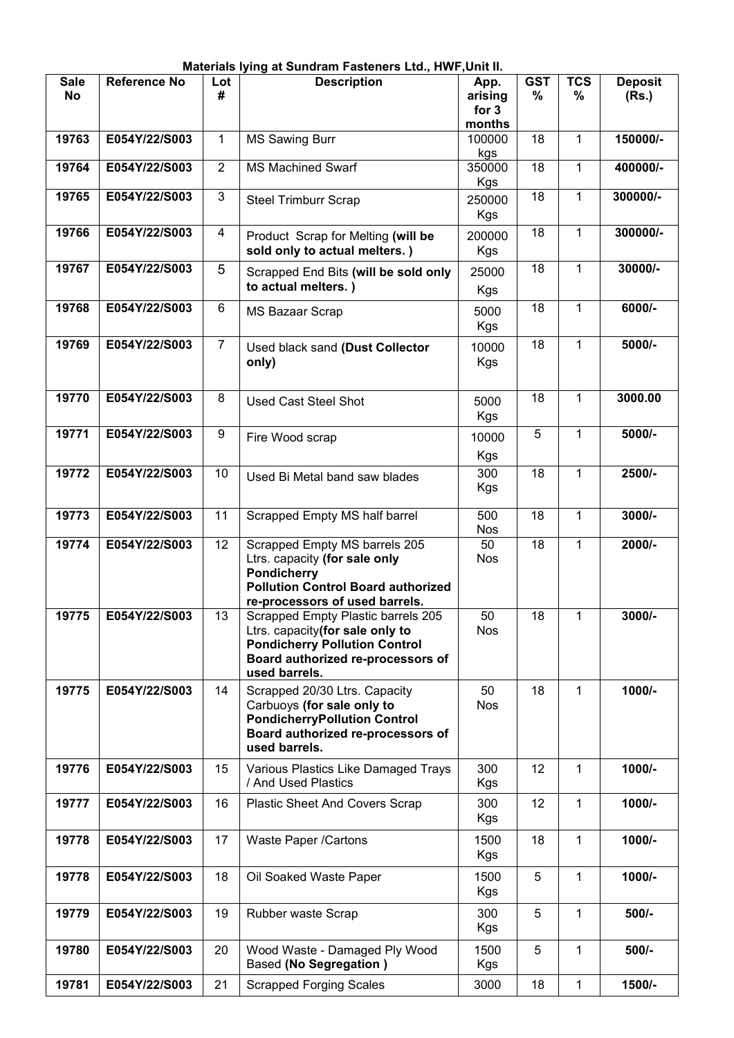|                          |                     |                | Materials lying at Sundram Fasteners Ltd., HWF, Unit II.                                                                                                            |                                      |                    |                 |                         |
|--------------------------|---------------------|----------------|---------------------------------------------------------------------------------------------------------------------------------------------------------------------|--------------------------------------|--------------------|-----------------|-------------------------|
| <b>Sale</b><br><b>No</b> | <b>Reference No</b> | Lot<br>#       | <b>Description</b>                                                                                                                                                  | App.<br>arising<br>for $3$<br>months | <b>GST</b><br>$\%$ | <b>TCS</b><br>% | <b>Deposit</b><br>(Rs.) |
| 19763                    | E054Y/22/S003       | 1              | <b>MS Sawing Burr</b>                                                                                                                                               | 100000<br>kgs                        | 18                 | 1               | 150000/-                |
| 19764                    | E054Y/22/S003       | $\overline{2}$ | <b>MS Machined Swarf</b>                                                                                                                                            | 350000<br>Kgs                        | 18                 | 1               | 400000/-                |
| 19765                    | E054Y/22/S003       | 3              | <b>Steel Trimburr Scrap</b>                                                                                                                                         | 250000<br>Kgs                        | 18                 | $\mathbf{1}$    | 300000/-                |
| 19766                    | E054Y/22/S003       | 4              | Product Scrap for Melting (will be<br>sold only to actual melters.)                                                                                                 | 200000<br>Kgs                        | 18                 | $\mathbf 1$     | 300000/-                |
| 19767                    | E054Y/22/S003       | 5              | Scrapped End Bits (will be sold only<br>to actual melters.)                                                                                                         | 25000<br><b>Kgs</b>                  | 18                 | $\mathbf 1$     | 30000/-                 |
| 19768                    | E054Y/22/S003       | 6              | <b>MS Bazaar Scrap</b>                                                                                                                                              | 5000<br>Kgs                          | 18                 | 1               | 6000/-                  |
| 19769                    | E054Y/22/S003       | $\overline{7}$ | Used black sand (Dust Collector<br>only)                                                                                                                            | 10000<br>Kgs                         | 18                 | $\mathbf 1$     | 5000/-                  |
| 19770                    | E054Y/22/S003       | 8              | <b>Used Cast Steel Shot</b>                                                                                                                                         | 5000<br>Kgs                          | 18                 | 1               | 3000.00                 |
| 19771                    | E054Y/22/S003       | 9              | Fire Wood scrap                                                                                                                                                     | 10000<br>Kgs                         | 5                  | 1               | 5000/-                  |
| 19772                    | E054Y/22/S003       | 10             | Used Bi Metal band saw blades                                                                                                                                       | 300<br>Kgs                           | 18                 | $\mathbf{1}$    | 2500/-                  |
| 19773                    | E054Y/22/S003       | 11             | Scrapped Empty MS half barrel                                                                                                                                       | 500<br><b>Nos</b>                    | 18                 | $\mathbf 1$     | 3000/-                  |
| 19774                    | E054Y/22/S003       | 12             | Scrapped Empty MS barrels 205<br>Ltrs. capacity (for sale only<br><b>Pondicherry</b><br><b>Pollution Control Board authorized</b><br>re-processors of used barrels. | 50<br><b>Nos</b>                     | 18                 | $\mathbf{1}$    | 2000/-                  |
| 19775                    | E054Y/22/S003       | 13             | Scrapped Empty Plastic barrels 205<br>Ltrs. capacity(for sale only to<br><b>Pondicherry Pollution Control</b><br>Board authorized re-processors of<br>used barrels. | 50<br><b>Nos</b>                     | 18                 | $\mathbf{1}$    | 3000/-                  |
| 19775                    | E054Y/22/S003       | 14             | Scrapped 20/30 Ltrs. Capacity<br>Carbuoys (for sale only to<br><b>PondicherryPollution Control</b><br>Board authorized re-processors of<br>used barrels.            | 50<br><b>Nos</b>                     | 18                 | $\mathbf{1}$    | $1000/-$                |
| 19776                    | E054Y/22/S003       | 15             | Various Plastics Like Damaged Trays<br>/ And Used Plastics                                                                                                          | 300<br>Kgs                           | 12                 | 1               | 1000/-                  |
| 19777                    | E054Y/22/S003       | 16             | Plastic Sheet And Covers Scrap                                                                                                                                      | 300<br>Kgs                           | 12                 | $\mathbf{1}$    | 1000/-                  |
| 19778                    | E054Y/22/S003       | 17             | Waste Paper /Cartons                                                                                                                                                | 1500<br>Kgs                          | 18                 | $\mathbf{1}$    | 1000/-                  |
| 19778                    | E054Y/22/S003       | 18             | Oil Soaked Waste Paper                                                                                                                                              | 1500<br>Kgs                          | 5                  | $\mathbf{1}$    | 1000/-                  |
| 19779                    | E054Y/22/S003       | 19             | Rubber waste Scrap                                                                                                                                                  | 300<br>Kgs                           | 5                  | $\mathbf 1$     | 500/-                   |
| 19780                    | E054Y/22/S003       | 20             | Wood Waste - Damaged Ply Wood<br>Based (No Segregation)                                                                                                             | 1500<br>Kgs                          | 5                  | 1               | 500/-                   |
| 19781                    | E054Y/22/S003       | 21             | <b>Scrapped Forging Scales</b>                                                                                                                                      | 3000                                 | 18                 | 1               | 1500/-                  |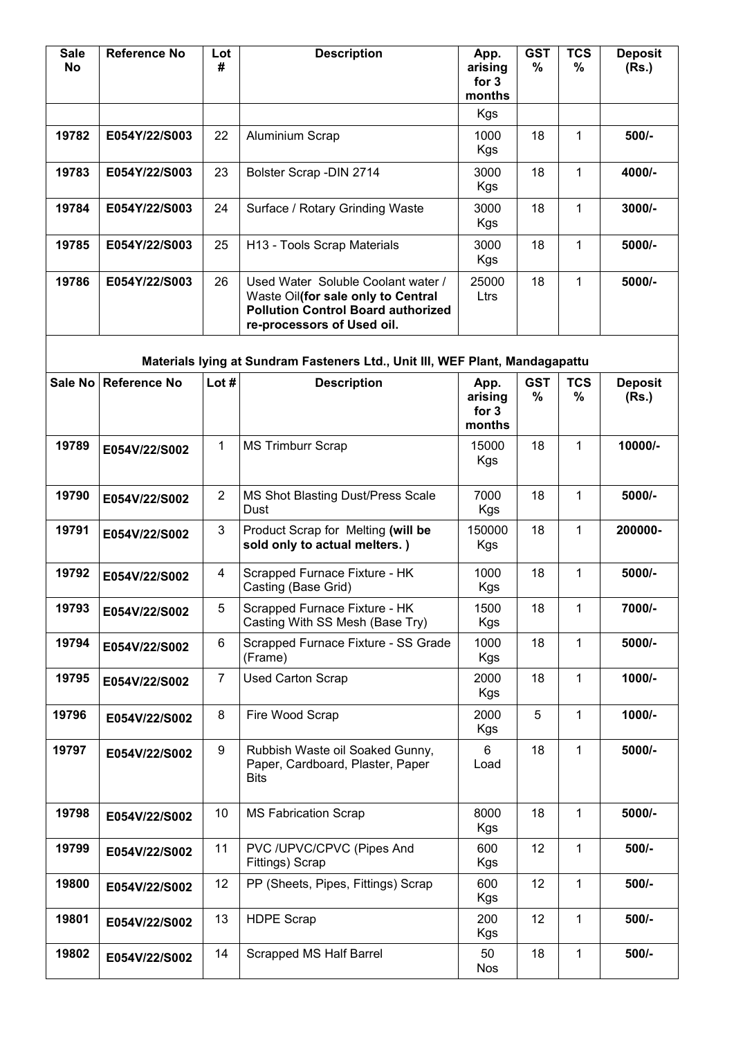| <b>Sale</b><br><b>No</b> | Reference No         | Lot<br>#       | <b>Description</b>                                                                                                                                  | App.<br>arising<br>for 3<br>months | <b>GST</b><br>$\%$ | <b>TCS</b><br>%    | <b>Deposit</b><br>(Rs.) |
|--------------------------|----------------------|----------------|-----------------------------------------------------------------------------------------------------------------------------------------------------|------------------------------------|--------------------|--------------------|-------------------------|
|                          |                      |                |                                                                                                                                                     | Kgs                                |                    |                    |                         |
| 19782                    | E054Y/22/S003        | 22             | Aluminium Scrap                                                                                                                                     | 1000<br>Kgs                        | 18                 | 1                  | 500/-                   |
| 19783                    | E054Y/22/S003        | 23             | Bolster Scrap - DIN 2714                                                                                                                            | 3000<br>Kgs                        | 18                 | 1                  | 4000/-                  |
| 19784                    | E054Y/22/S003        | 24             | Surface / Rotary Grinding Waste                                                                                                                     | 3000<br>Kgs                        | 18                 | 1                  | 3000/-                  |
| 19785                    | E054Y/22/S003        | 25             | H13 - Tools Scrap Materials                                                                                                                         | 3000<br><b>Kgs</b>                 | 18                 | $\mathbf 1$        | 5000/-                  |
| 19786                    | E054Y/22/S003        | 26             | Used Water Soluble Coolant water /<br>Waste Oil(for sale only to Central<br><b>Pollution Control Board authorized</b><br>re-processors of Used oil. | 25000<br>Ltrs                      | 18                 | $\mathbf 1$        | 5000/-                  |
|                          |                      |                | Materials lying at Sundram Fasteners Ltd., Unit III, WEF Plant, Mandagapattu                                                                        |                                    |                    |                    |                         |
|                          | Sale No Reference No | Lot #          | <b>Description</b>                                                                                                                                  | App.<br>arising<br>for 3<br>months | <b>GST</b><br>$\%$ | <b>TCS</b><br>$\%$ | <b>Deposit</b><br>(Rs.) |
| 19789                    | E054V/22/S002        | $\mathbf{1}$   | <b>MS Trimburr Scrap</b>                                                                                                                            | 15000<br>Kgs                       | 18                 | $\mathbf{1}$       | 10000/-                 |
| 19790                    | E054V/22/S002        | $\overline{2}$ | MS Shot Blasting Dust/Press Scale<br>Dust                                                                                                           | 7000<br>Kgs                        | 18                 | 1                  | 5000/-                  |
| 19791                    | E054V/22/S002        | 3              | Product Scrap for Melting (will be<br>sold only to actual melters.)                                                                                 | 150000<br>Kgs                      | 18                 | $\mathbf{1}$       | 200000-                 |
| 19792                    | E054V/22/S002        | $\overline{4}$ | Scrapped Furnace Fixture - HK<br>Casting (Base Grid)                                                                                                | 1000<br>Kgs                        | 18                 | 1                  | 5000/-                  |
| 19793                    | E054V/22/S002        | 5              | Scrapped Furnace Fixture - HK<br>Casting With SS Mesh (Base Try)                                                                                    | 1500<br>Kgs                        | 18                 | 1                  | 7000/-                  |
| 19794                    | E054V/22/S002        | 6              | Scrapped Furnace Fixture - SS Grade<br>(Frame)                                                                                                      | 1000<br><b>Kgs</b>                 | 18                 | 1                  | 5000/-                  |
| 19795                    | E054V/22/S002        | $\overline{7}$ | <b>Used Carton Scrap</b>                                                                                                                            | 2000<br>Kgs                        | 18                 | $\mathbf{1}$       | $1000/-$                |
| 19796                    | E054V/22/S002        | 8              | Fire Wood Scrap                                                                                                                                     | 2000<br>Kgs                        | 5                  | $\mathbf{1}$       | 1000/-                  |
| 19797                    | E054V/22/S002        | 9              | Rubbish Waste oil Soaked Gunny,<br>Paper, Cardboard, Plaster, Paper<br><b>Bits</b>                                                                  | 6<br>Load                          | 18                 | $\mathbf 1$        | 5000/-                  |
| 19798                    | E054V/22/S002        | 10             | <b>MS Fabrication Scrap</b>                                                                                                                         | 8000<br>Kgs                        | 18                 | 1                  | 5000/-                  |
| 19799                    | E054V/22/S002        | 11             | PVC /UPVC/CPVC (Pipes And<br>Fittings) Scrap                                                                                                        | 600<br>Kgs                         | 12                 | 1                  | 500/-                   |
| 19800                    | E054V/22/S002        | 12             | PP (Sheets, Pipes, Fittings) Scrap                                                                                                                  | 600<br>Kgs                         | 12                 | 1                  | 500/-                   |
| 19801                    | E054V/22/S002        | 13             | <b>HDPE Scrap</b>                                                                                                                                   | 200<br>Kgs                         | 12                 | 1                  | 500/-                   |
| 19802                    | E054V/22/S002        | 14             | <b>Scrapped MS Half Barrel</b>                                                                                                                      | 50<br><b>Nos</b>                   | 18                 | 1                  | 500/-                   |